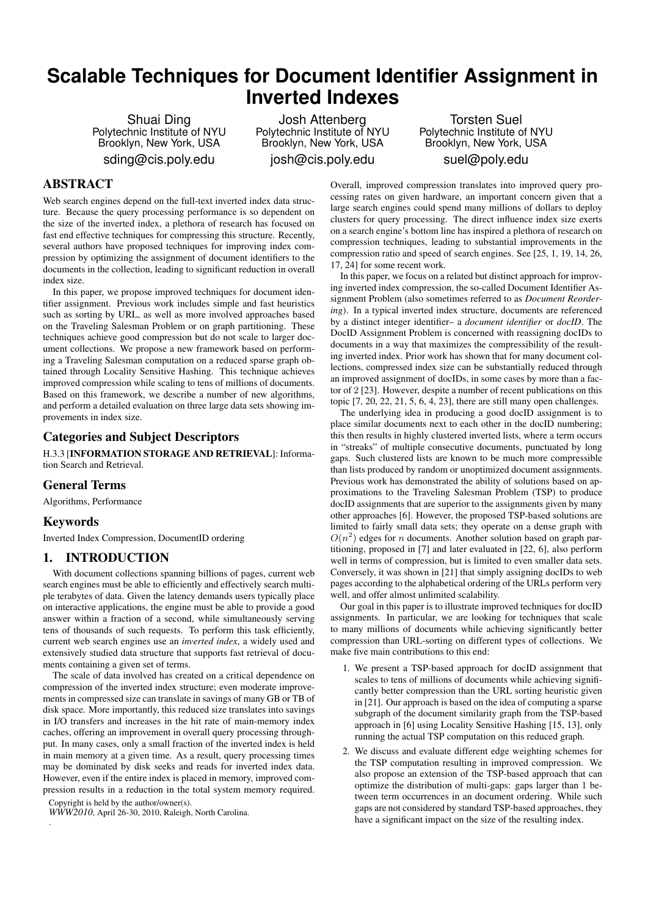# **Scalable Techniques for Document Identifier Assignment in Inverted Indexes**

Shuai Ding Polytechnic Institute of NYU Brooklyn, New York, USA sding@cis.poly.edu

Josh Attenberg Polytechnic Institute of NYU Brooklyn, New York, USA josh@cis.poly.edu

Torsten Suel Polytechnic Institute of NYU Brooklyn, New York, USA suel@poly.edu

# ABSTRACT

Web search engines depend on the full-text inverted index data structure. Because the query processing performance is so dependent on the size of the inverted index, a plethora of research has focused on fast end effective techniques for compressing this structure. Recently, several authors have proposed techniques for improving index compression by optimizing the assignment of document identifiers to the documents in the collection, leading to significant reduction in overall index size.

In this paper, we propose improved techniques for document identifier assignment. Previous work includes simple and fast heuristics such as sorting by URL, as well as more involved approaches based on the Traveling Salesman Problem or on graph partitioning. These techniques achieve good compression but do not scale to larger document collections. We propose a new framework based on performing a Traveling Salesman computation on a reduced sparse graph obtained through Locality Sensitive Hashing. This technique achieves improved compression while scaling to tens of millions of documents. Based on this framework, we describe a number of new algorithms, and perform a detailed evaluation on three large data sets showing improvements in index size.

# Categories and Subject Descriptors

H.3.3 [INFORMATION STORAGE AND RETRIEVAL]: Information Search and Retrieval.

# General Terms

Algorithms, Performance

# Keywords

Inverted Index Compression, DocumentID ordering

## 1. INTRODUCTION

With document collections spanning billions of pages, current web search engines must be able to efficiently and effectively search multiple terabytes of data. Given the latency demands users typically place on interactive applications, the engine must be able to provide a good answer within a fraction of a second, while simultaneously serving tens of thousands of such requests. To perform this task efficiently, current web search engines use an *inverted index*, a widely used and extensively studied data structure that supports fast retrieval of documents containing a given set of terms.

The scale of data involved has created on a critical dependence on compression of the inverted index structure; even moderate improvements in compressed size can translate in savings of many GB or TB of disk space. More importantly, this reduced size translates into savings in I/O transfers and increases in the hit rate of main-memory index caches, offering an improvement in overall query processing throughput. In many cases, only a small fraction of the inverted index is held in main memory at a given time. As a result, query processing times may be dominated by disk seeks and reads for inverted index data. However, even if the entire index is placed in memory, improved compression results in a reduction in the total system memory required.

Copyright is held by the author/owner(s).

.

*WWW2010*, April 26-30, 2010, Raleigh, North Carolina.

Overall, improved compression translates into improved query processing rates on given hardware, an important concern given that a large search engines could spend many millions of dollars to deploy clusters for query processing. The direct influence index size exerts on a search engine's bottom line has inspired a plethora of research on compression techniques, leading to substantial improvements in the compression ratio and speed of search engines. See [25, 1, 19, 14, 26, 17, 24] for some recent work.

In this paper, we focus on a related but distinct approach for improving inverted index compression, the so-called Document Identifier Assignment Problem (also sometimes referred to as *Document Reordering*). In a typical inverted index structure, documents are referenced by a distinct integer identifier– a *document identifier* or *docID*. The DocID Assignment Problem is concerned with reassigning docIDs to documents in a way that maximizes the compressibility of the resulting inverted index. Prior work has shown that for many document collections, compressed index size can be substantially reduced through an improved assignment of docIDs, in some cases by more than a factor of 2 [23]. However, despite a number of recent publications on this topic [7, 20, 22, 21, 5, 6, 4, 23], there are still many open challenges.

The underlying idea in producing a good docID assignment is to place similar documents next to each other in the docID numbering; this then results in highly clustered inverted lists, where a term occurs in "streaks" of multiple consecutive documents, punctuated by long gaps. Such clustered lists are known to be much more compressible than lists produced by random or unoptimized document assignments. Previous work has demonstrated the ability of solutions based on approximations to the Traveling Salesman Problem (TSP) to produce docID assignments that are superior to the assignments given by many other approaches [6]. However, the proposed TSP-based solutions are limited to fairly small data sets; they operate on a dense graph with  $O(n^2)$  edges for *n* documents. Another solution based on graph partitioning, proposed in [7] and later evaluated in [22, 6], also perform well in terms of compression, but is limited to even smaller data sets. Conversely, it was shown in [21] that simply assigning docIDs to web pages according to the alphabetical ordering of the URLs perform very well, and offer almost unlimited scalability.

Our goal in this paper is to illustrate improved techniques for docID assignments. In particular, we are looking for techniques that scale to many millions of documents while achieving significantly better compression than URL-sorting on different types of collections. We make five main contributions to this end:

- 1. We present a TSP-based approach for docID assignment that scales to tens of millions of documents while achieving significantly better compression than the URL sorting heuristic given in [21]. Our approach is based on the idea of computing a sparse subgraph of the document similarity graph from the TSP-based approach in [6] using Locality Sensitive Hashing [15, 13], only running the actual TSP computation on this reduced graph.
- 2. We discuss and evaluate different edge weighting schemes for the TSP computation resulting in improved compression. We also propose an extension of the TSP-based approach that can optimize the distribution of multi-gaps: gaps larger than 1 between term occurrences in an document ordering. While such gaps are not considered by standard TSP-based approaches, they have a significant impact on the size of the resulting index.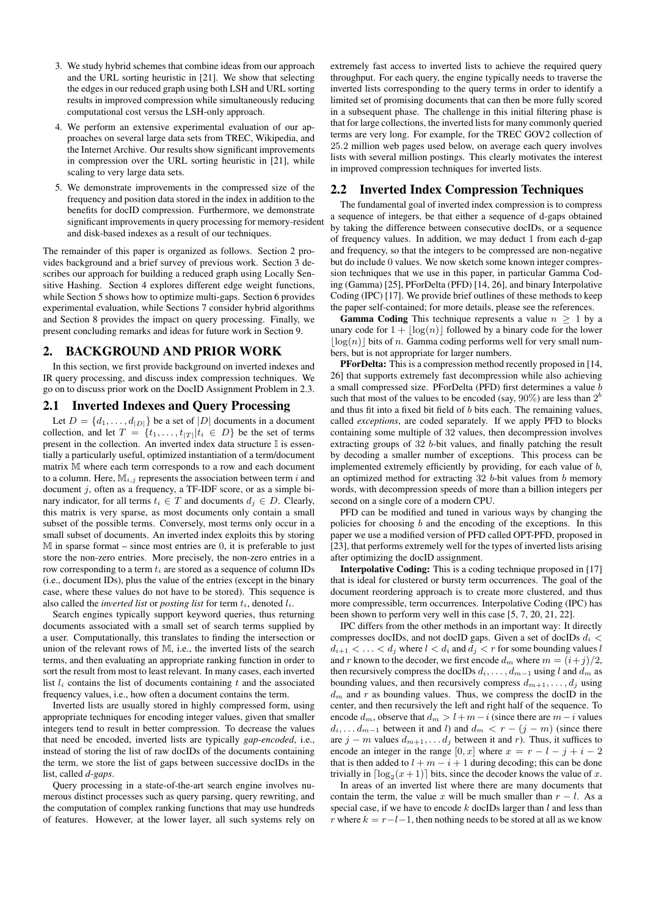- 3. We study hybrid schemes that combine ideas from our approach and the URL sorting heuristic in [21]. We show that selecting the edges in our reduced graph using both LSH and URL sorting results in improved compression while simultaneously reducing computational cost versus the LSH-only approach.
- 4. We perform an extensive experimental evaluation of our approaches on several large data sets from TREC, Wikipedia, and the Internet Archive. Our results show significant improvements in compression over the URL sorting heuristic in [21], while scaling to very large data sets.
- 5. We demonstrate improvements in the compressed size of the frequency and position data stored in the index in addition to the benefits for docID compression. Furthermore, we demonstrate significant improvements in query processing for memory-resident and disk-based indexes as a result of our techniques.

The remainder of this paper is organized as follows. Section 2 provides background and a brief survey of previous work. Section 3 describes our approach for building a reduced graph using Locally Sensitive Hashing. Section 4 explores different edge weight functions, while Section 5 shows how to optimize multi-gaps. Section 6 provides experimental evaluation, while Sections 7 consider hybrid algorithms and Section 8 provides the impact on query processing. Finally, we present concluding remarks and ideas for future work in Section 9.

# 2. BACKGROUND AND PRIOR WORK

In this section, we first provide background on inverted indexes and IR query processing, and discuss index compression techniques. We go on to discuss prior work on the DocID Assignment Problem in 2.3.

#### 2.1 Inverted Indexes and Query Processing

Let  $D = \{d_1, \ldots, d_{|D|}\}$  be a set of  $|D|$  documents in a document collection, and let  $T = \{t_1, \ldots, t_{|T|} | t_i \in D \}$  be the set of terms present in the collection. An inverted index data structure  $\mathbb I$  is essentially a particularly useful, optimized instantiation of a term/document matrix M where each term corresponds to a row and each document to a column. Here,  $M_{i,j}$  represents the association between term *i* and document *j*, often as a frequency, a TF-IDF score, or as a simple binary indicator, for all terms  $t_i \in T$  and documents  $d_j \in D$ . Clearly, this matrix is very sparse, as most documents only contain a small subset of the possible terms. Conversely, most terms only occur in a small subset of documents. An inverted index exploits this by storing  $M$  in sparse format – since most entries are 0, it is preferable to just store the non-zero entries. More precisely, the non-zero entries in a row corresponding to a term *t<sup>i</sup>* are stored as a sequence of column IDs (i.e., document IDs), plus the value of the entries (except in the binary case, where these values do not have to be stored). This sequence is also called the *inverted list* or *posting list* for term *ti*, denoted *li*.

Search engines typically support keyword queries, thus returning documents associated with a small set of search terms supplied by a user. Computationally, this translates to finding the intersection or union of the relevant rows of M, i.e., the inverted lists of the search terms, and then evaluating an appropriate ranking function in order to sort the result from most to least relevant. In many cases, each inverted list  $l_i$  contains the list of documents containing  $t$  and the associated frequency values, i.e., how often a document contains the term.

Inverted lists are usually stored in highly compressed form, using appropriate techniques for encoding integer values, given that smaller integers tend to result in better compression. To decrease the values that need be encoded, inverted lists are typically *gap-encoded*, i.e., instead of storing the list of raw docIDs of the documents containing the term, we store the list of gaps between successive docIDs in the list, called *d-gaps*.

Query processing in a state-of-the-art search engine involves numerous distinct processes such as query parsing, query rewriting, and the computation of complex ranking functions that may use hundreds of features. However, at the lower layer, all such systems rely on extremely fast access to inverted lists to achieve the required query throughput. For each query, the engine typically needs to traverse the inverted lists corresponding to the query terms in order to identify a limited set of promising documents that can then be more fully scored in a subsequent phase. The challenge in this initial filtering phase is that for large collections, the inverted lists for many commonly queried terms are very long. For example, for the TREC GOV2 collection of 25*.*2 million web pages used below, on average each query involves lists with several million postings. This clearly motivates the interest in improved compression techniques for inverted lists.

#### 2.2 Inverted Index Compression Techniques

The fundamental goal of inverted index compression is to compress a sequence of integers, be that either a sequence of d-gaps obtained by taking the difference between consecutive docIDs, or a sequence of frequency values. In addition, we may deduct 1 from each d-gap and frequency, so that the integers to be compressed are non-negative but do include 0 values. We now sketch some known integer compression techniques that we use in this paper, in particular Gamma Coding (Gamma) [25], PForDelta (PFD) [14, 26], and binary Interpolative Coding (IPC) [17]. We provide brief outlines of these methods to keep the paper self-contained; for more details, please see the references.

**Gamma Coding** This technique represents a value  $n \geq 1$  by a unary code for  $1 + |\log(n)|$  followed by a binary code for the lower  $\log(n)$  bits of *n*. Gamma coding performs well for very small numbers, but is not appropriate for larger numbers.

PForDelta: This is a compression method recently proposed in [14, 26] that supports extremely fast decompression while also achieving a small compressed size. PForDelta (PFD) first determines a value *b* such that most of the values to be encoded (say,  $90\%$ ) are less than  $2^b$ and thus fit into a fixed bit field of *b* bits each. The remaining values, called *exceptions*, are coded separately. If we apply PFD to blocks containing some multiple of 32 values, then decompression involves extracting groups of 32 *b*-bit values, and finally patching the result by decoding a smaller number of exceptions. This process can be implemented extremely efficiently by providing, for each value of *b*, an optimized method for extracting 32 *b*-bit values from *b* memory words, with decompression speeds of more than a billion integers per second on a single core of a modern CPU.

PFD can be modified and tuned in various ways by changing the policies for choosing *b* and the encoding of the exceptions. In this paper we use a modified version of PFD called OPT-PFD, proposed in [23], that performs extremely well for the types of inverted lists arising after optimizing the docID assignment.

Interpolative Coding: This is a coding technique proposed in [17] that is ideal for clustered or bursty term occurrences. The goal of the document reordering approach is to create more clustered, and thus more compressible, term occurrences. Interpolative Coding (IPC) has been shown to perform very well in this case [5, 7, 20, 21, 22].

IPC differs from the other methods in an important way: It directly compresses docIDs, and not docID gaps. Given a set of docIDs *d<sup>i</sup> <*  $d_{i+1} < \ldots < d_j$  where  $l < d_i$  and  $d_j < r$  for some bounding values *l* and *r* known to the decoder, we first encode  $d_m$  where  $m = (i+j)/2$ , then recursively compress the docIDs  $d_i$ , . . . ,  $d_{m-1}$  using *l* and  $d_m$  as bounding values, and then recursively compress  $d_{m+1}, \ldots, d_j$  using *d<sup>m</sup>* and *r* as bounding values. Thus, we compress the docID in the center, and then recursively the left and right half of the sequence. To encode  $d_m$ , observe that  $d_m > l + m - i$  (since there are  $m - i$  values  $d_i, \ldots, d_{m-1}$  between it and *l*) and  $d_m < r - (j - m)$  (since there are  $j - m$  values  $d_{m+1}, \ldots, d_j$  between it and *r*). Thus, it suffices to encode an integer in the range  $[0, x]$  where  $x = r - l - j + i - 2$ that is then added to  $l + m - i + 1$  during decoding; this can be done trivially in  $\lceil \log_2(x+1) \rceil$  bits, since the decoder knows the value of *x*.

In areas of an inverted list where there are many documents that contain the term, the value *x* will be much smaller than  $r - l$ . As a special case, if we have to encode *k* docIDs larger than *l* and less than *r* where  $k = r - l - 1$ , then nothing needs to be stored at all as we know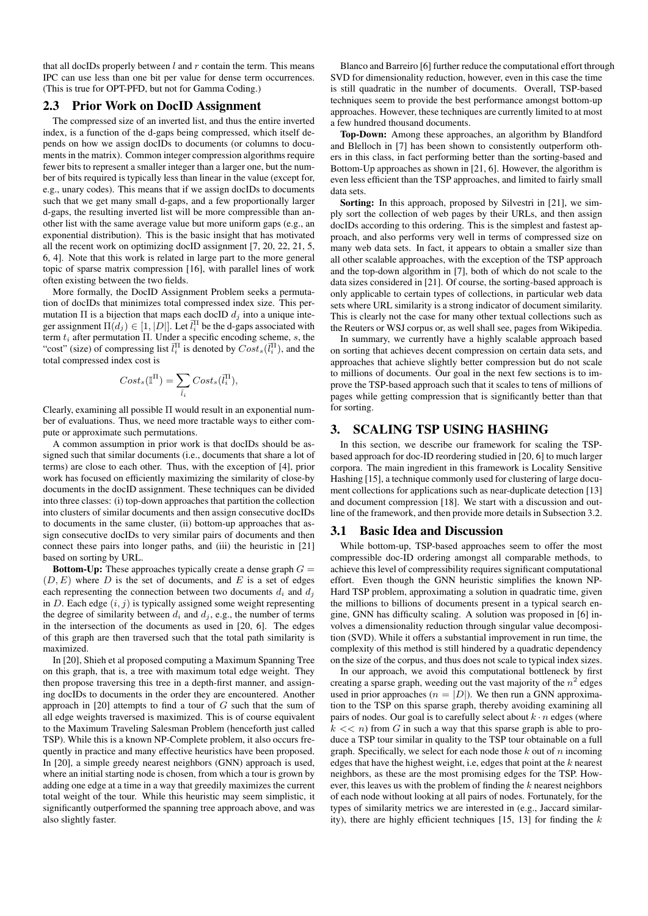that all docIDs properly between  $l$  and  $r$  contain the term. This means IPC can use less than one bit per value for dense term occurrences. (This is true for OPT-PFD, but not for Gamma Coding.)

#### 2.3 Prior Work on DocID Assignment

The compressed size of an inverted list, and thus the entire inverted index, is a function of the d-gaps being compressed, which itself depends on how we assign docIDs to documents (or columns to documents in the matrix). Common integer compression algorithms require fewer bits to represent a smaller integer than a larger one, but the number of bits required is typically less than linear in the value (except for, e.g., unary codes). This means that if we assign docIDs to documents such that we get many small d-gaps, and a few proportionally larger d-gaps, the resulting inverted list will be more compressible than another list with the same average value but more uniform gaps (e.g., an exponential distribution). This is the basic insight that has motivated all the recent work on optimizing docID assignment [7, 20, 22, 21, 5, 6, 4]. Note that this work is related in large part to the more general topic of sparse matrix compression [16], with parallel lines of work often existing between the two fields.

More formally, the DocID Assignment Problem seeks a permutation of docIDs that minimizes total compressed index size. This permutation  $\Pi$  is a bijection that maps each docID  $d_j$  into a unique integer assignment  $\Pi(d_j) \in [1, |D|]$ . Let  $\bar{l}_i^{\Pi}$  be the d-gaps associated with term *t<sup>i</sup>* after permutation Π. Under a specific encoding scheme, *s*, the "cost" (size) of compressing list  $\bar{l}_i^{\Pi}$  is denoted by  $Cost_s(\bar{l}_i^{\Pi})$ , and the total compressed index cost is

$$
Cost_s(\mathbb{I}^{\Pi}) = \sum_{\bar{l}_i} Cost_s(\bar{l}_i^{\Pi}),
$$

Clearly, examining all possible Π would result in an exponential number of evaluations. Thus, we need more tractable ways to either compute or approximate such permutations.

A common assumption in prior work is that docIDs should be assigned such that similar documents (i.e., documents that share a lot of terms) are close to each other. Thus, with the exception of [4], prior work has focused on efficiently maximizing the similarity of close-by documents in the docID assignment. These techniques can be divided into three classes: (i) top-down approaches that partition the collection into clusters of similar documents and then assign consecutive docIDs to documents in the same cluster, (ii) bottom-up approaches that assign consecutive docIDs to very similar pairs of documents and then connect these pairs into longer paths, and (iii) the heuristic in [21] based on sorting by URL.

**Bottom-Up:** These approaches typically create a dense graph  $G =$  $(D, E)$  where *D* is the set of documents, and *E* is a set of edges each representing the connection between two documents  $d_i$  and  $d_j$ in *D*. Each edge  $(i, j)$  is typically assigned some weight representing the degree of similarity between  $d_i$  and  $d_j$ , e.g., the number of terms in the intersection of the documents as used in [20, 6]. The edges of this graph are then traversed such that the total path similarity is maximized.

In [20], Shieh et al proposed computing a Maximum Spanning Tree on this graph, that is, a tree with maximum total edge weight. They then propose traversing this tree in a depth-first manner, and assigning docIDs to documents in the order they are encountered. Another approach in [20] attempts to find a tour of *G* such that the sum of all edge weights traversed is maximized. This is of course equivalent to the Maximum Traveling Salesman Problem (henceforth just called TSP). While this is a known NP-Complete problem, it also occurs frequently in practice and many effective heuristics have been proposed. In [20], a simple greedy nearest neighbors (GNN) approach is used, where an initial starting node is chosen, from which a tour is grown by adding one edge at a time in a way that greedily maximizes the current total weight of the tour. While this heuristic may seem simplistic, it significantly outperformed the spanning tree approach above, and was also slightly faster.

Blanco and Barreiro [6] further reduce the computational effort through SVD for dimensionality reduction, however, even in this case the time is still quadratic in the number of documents. Overall, TSP-based techniques seem to provide the best performance amongst bottom-up approaches. However, these techniques are currently limited to at most a few hundred thousand documents.

Top-Down: Among these approaches, an algorithm by Blandford and Blelloch in [7] has been shown to consistently outperform others in this class, in fact performing better than the sorting-based and Bottom-Up approaches as shown in [21, 6]. However, the algorithm is even less efficient than the TSP approaches, and limited to fairly small data sets.

Sorting: In this approach, proposed by Silvestri in [21], we simply sort the collection of web pages by their URLs, and then assign docIDs according to this ordering. This is the simplest and fastest approach, and also performs very well in terms of compressed size on many web data sets. In fact, it appears to obtain a smaller size than all other scalable approaches, with the exception of the TSP approach and the top-down algorithm in [7], both of which do not scale to the data sizes considered in [21]. Of course, the sorting-based approach is only applicable to certain types of collections, in particular web data sets where URL similarity is a strong indicator of document similarity. This is clearly not the case for many other textual collections such as the Reuters or WSJ corpus or, as well shall see, pages from Wikipedia.

In summary, we currently have a highly scalable approach based on sorting that achieves decent compression on certain data sets, and approaches that achieve slightly better compression but do not scale to millions of documents. Our goal in the next few sections is to improve the TSP-based approach such that it scales to tens of millions of pages while getting compression that is significantly better than that for sorting.

#### 3. SCALING TSP USING HASHING

In this section, we describe our framework for scaling the TSPbased approach for doc-ID reordering studied in [20, 6] to much larger corpora. The main ingredient in this framework is Locality Sensitive Hashing [15], a technique commonly used for clustering of large document collections for applications such as near-duplicate detection [13] and document compression [18]. We start with a discussion and outline of the framework, and then provide more details in Subsection 3.2.

#### 3.1 Basic Idea and Discussion

While bottom-up, TSP-based approaches seem to offer the most compressible doc-ID ordering amongst all comparable methods, to achieve this level of compressibility requires significant computational effort. Even though the GNN heuristic simplifies the known NP-Hard TSP problem, approximating a solution in quadratic time, given the millions to billions of documents present in a typical search engine, GNN has difficulty scaling. A solution was proposed in [6] involves a dimensionality reduction through singular value decomposition (SVD). While it offers a substantial improvement in run time, the complexity of this method is still hindered by a quadratic dependency on the size of the corpus, and thus does not scale to typical index sizes.

In our approach, we avoid this computational bottleneck by first creating a sparse graph, weeding out the vast majority of the  $n^2$  edges used in prior approaches ( $n = |D|$ ). We then run a GNN approximation to the TSP on this sparse graph, thereby avoiding examining all pairs of nodes. Our goal is to carefully select about  $k \cdot n$  edges (where  $k \ll n$ ) from *G* in such a way that this sparse graph is able to produce a TSP tour similar in quality to the TSP tour obtainable on a full graph. Specifically, we select for each node those *k* out of *n* incoming edges that have the highest weight, i.e, edges that point at the *k* nearest neighbors, as these are the most promising edges for the TSP. However, this leaves us with the problem of finding the *k* nearest neighbors of each node without looking at all pairs of nodes. Fortunately, for the types of similarity metrics we are interested in (e.g., Jaccard similarity), there are highly efficient techniques [15, 13] for finding the *k*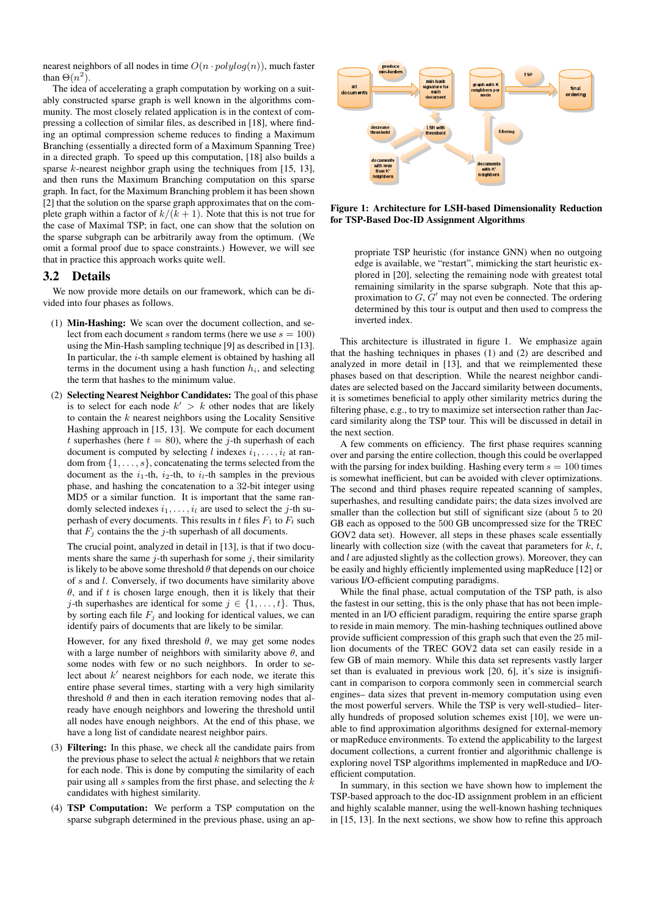nearest neighbors of all nodes in time  $O(n \cdot polylog(n))$ , much faster than  $\Theta(n^2)$ .

The idea of accelerating a graph computation by working on a suitably constructed sparse graph is well known in the algorithms community. The most closely related application is in the context of compressing a collection of similar files, as described in [18], where finding an optimal compression scheme reduces to finding a Maximum Branching (essentially a directed form of a Maximum Spanning Tree) in a directed graph. To speed up this computation, [18] also builds a sparse *k*-nearest neighbor graph using the techniques from [15, 13], and then runs the Maximum Branching computation on this sparse graph. In fact, for the Maximum Branching problem it has been shown [2] that the solution on the sparse graph approximates that on the complete graph within a factor of  $k/(k+1)$ . Note that this is not true for the case of Maximal TSP; in fact, one can show that the solution on the sparse subgraph can be arbitrarily away from the optimum. (We omit a formal proof due to space constraints.) However, we will see that in practice this approach works quite well.

#### 3.2 Details

We now provide more details on our framework, which can be divided into four phases as follows.

- (1) Min-Hashing: We scan over the document collection, and select from each document *s* random terms (here we use  $s = 100$ ) using the Min-Hash sampling technique [9] as described in [13]. In particular, the *i*-th sample element is obtained by hashing all terms in the document using a hash function *hi*, and selecting the term that hashes to the minimum value.
- (2) Selecting Nearest Neighbor Candidates: The goal of this phase is to select for each node  $k' > k$  other nodes that are likely to contain the *k* nearest neighbors using the Locality Sensitive Hashing approach in [15, 13]. We compute for each document *t* superhashes (here  $t = 80$ ), where the *j*-th superhash of each document is computed by selecting *l* indexes  $i_1, \ldots, i_l$  at random from *{*1*, . . . , s}*, concatenating the terms selected from the document as the  $i_1$ -th,  $i_2$ -th, to  $i_l$ -th samples in the previous phase, and hashing the concatenation to a 32-bit integer using MD5 or a similar function. It is important that the same randomly selected indexes  $i_1, \ldots, i_l$  are used to select the *j*-th superhash of every documents. This results in  $t$  files  $F_1$  to  $F_t$  such that  $F_j$  contains the the *j*-th superhash of all documents.

The crucial point, analyzed in detail in [13], is that if two documents share the same  $j$ -th superhash for some  $j$ , their similarity is likely to be above some threshold  $\theta$  that depends on our choice of *s* and *l*. Conversely, if two documents have similarity above *θ*, and if *t* is chosen large enough, then it is likely that their *j*-th superhashes are identical for some  $j \in \{1, \ldots, t\}$ . Thus, by sorting each file  $F_i$  and looking for identical values, we can identify pairs of documents that are likely to be similar.

However, for any fixed threshold  $\theta$ , we may get some nodes with a large number of neighbors with similarity above *θ*, and some nodes with few or no such neighbors. In order to select about *k ′* nearest neighbors for each node, we iterate this entire phase several times, starting with a very high similarity threshold  $\theta$  and then in each iteration removing nodes that already have enough neighbors and lowering the threshold until all nodes have enough neighbors. At the end of this phase, we have a long list of candidate nearest neighbor pairs.

- (3) Filtering: In this phase, we check all the candidate pairs from the previous phase to select the actual *k* neighbors that we retain for each node. This is done by computing the similarity of each pair using all *s* samples from the first phase, and selecting the *k* candidates with highest similarity.
- (4) TSP Computation: We perform a TSP computation on the sparse subgraph determined in the previous phase, using an ap-



Figure 1: Architecture for LSH-based Dimensionality Reduction for TSP-Based Doc-ID Assignment Algorithms

propriate TSP heuristic (for instance GNN) when no outgoing edge is available, we "restart", mimicking the start heuristic explored in [20], selecting the remaining node with greatest total remaining similarity in the sparse subgraph. Note that this approximation to *G*, *G ′* may not even be connected. The ordering determined by this tour is output and then used to compress the inverted index.

This architecture is illustrated in figure 1. We emphasize again that the hashing techniques in phases (1) and (2) are described and analyzed in more detail in [13], and that we reimplemented these phases based on that description. While the nearest neighbor candidates are selected based on the Jaccard similarity between documents, it is sometimes beneficial to apply other similarity metrics during the filtering phase, e.g., to try to maximize set intersection rather than Jaccard similarity along the TSP tour. This will be discussed in detail in the next section.

A few comments on efficiency. The first phase requires scanning over and parsing the entire collection, though this could be overlapped with the parsing for index building. Hashing every term  $s = 100$  times is somewhat inefficient, but can be avoided with clever optimizations. The second and third phases require repeated scanning of samples, superhashes, and resulting candidate pairs; the data sizes involved are smaller than the collection but still of significant size (about 5 to 20 GB each as opposed to the 500 GB uncompressed size for the TREC GOV2 data set). However, all steps in these phases scale essentially linearly with collection size (with the caveat that parameters for *k*, *t*, and *l* are adjusted slightly as the collection grows). Moreover, they can be easily and highly efficiently implemented using mapReduce [12] or various I/O-efficient computing paradigms.

While the final phase, actual computation of the TSP path, is also the fastest in our setting, this is the only phase that has not been implemented in an I/O efficient paradigm, requiring the entire sparse graph to reside in main memory. The min-hashing techniques outlined above provide sufficient compression of this graph such that even the 25 million documents of the TREC GOV2 data set can easily reside in a few GB of main memory. While this data set represents vastly larger set than is evaluated in previous work [20, 6], it's size is insignificant in comparison to corpora commonly seen in commercial search engines– data sizes that prevent in-memory computation using even the most powerful servers. While the TSP is very well-studied– literally hundreds of proposed solution schemes exist [10], we were unable to find approximation algorithms designed for external-memory or mapReduce environments. To extend the applicability to the largest document collections, a current frontier and algorithmic challenge is exploring novel TSP algorithms implemented in mapReduce and I/Oefficient computation.

In summary, in this section we have shown how to implement the TSP-based approach to the doc-ID assignment problem in an efficient and highly scalable manner, using the well-known hashing techniques in [15, 13]. In the next sections, we show how to refine this approach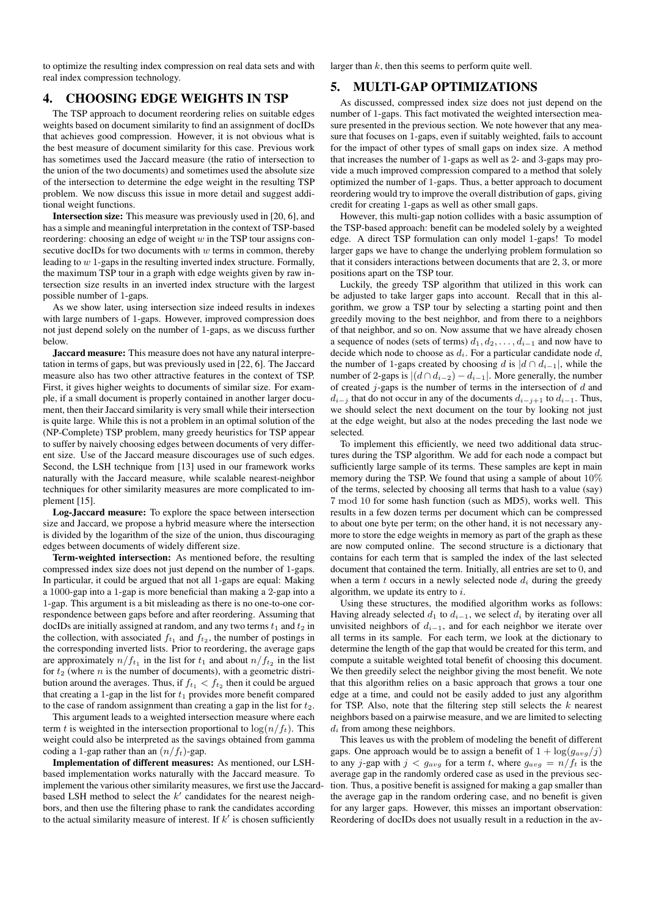to optimize the resulting index compression on real data sets and with real index compression technology.

#### 4. CHOOSING EDGE WEIGHTS IN TSP

The TSP approach to document reordering relies on suitable edges weights based on document similarity to find an assignment of docIDs that achieves good compression. However, it is not obvious what is the best measure of document similarity for this case. Previous work has sometimes used the Jaccard measure (the ratio of intersection to the union of the two documents) and sometimes used the absolute size of the intersection to determine the edge weight in the resulting TSP problem. We now discuss this issue in more detail and suggest additional weight functions.

Intersection size: This measure was previously used in [20, 6], and has a simple and meaningful interpretation in the context of TSP-based reordering: choosing an edge of weight *w* in the TSP tour assigns consecutive docIDs for two documents with *w* terms in common, thereby leading to *w* 1-gaps in the resulting inverted index structure. Formally, the maximum TSP tour in a graph with edge weights given by raw intersection size results in an inverted index structure with the largest possible number of 1-gaps.

As we show later, using intersection size indeed results in indexes with large numbers of 1-gaps. However, improved compression does not just depend solely on the number of 1-gaps, as we discuss further below.

Jaccard measure: This measure does not have any natural interpretation in terms of gaps, but was previously used in [22, 6]. The Jaccard measure also has two other attractive features in the context of TSP. First, it gives higher weights to documents of similar size. For example, if a small document is properly contained in another larger document, then their Jaccard similarity is very small while their intersection is quite large. While this is not a problem in an optimal solution of the (NP-Complete) TSP problem, many greedy heuristics for TSP appear to suffer by naively choosing edges between documents of very different size. Use of the Jaccard measure discourages use of such edges. Second, the LSH technique from [13] used in our framework works naturally with the Jaccard measure, while scalable nearest-neighbor techniques for other similarity measures are more complicated to implement [15].

Log-Jaccard measure: To explore the space between intersection size and Jaccard, we propose a hybrid measure where the intersection is divided by the logarithm of the size of the union, thus discouraging edges between documents of widely different size.

Term-weighted intersection: As mentioned before, the resulting compressed index size does not just depend on the number of 1-gaps. In particular, it could be argued that not all 1-gaps are equal: Making a 1000-gap into a 1-gap is more beneficial than making a 2-gap into a 1-gap. This argument is a bit misleading as there is no one-to-one correspondence between gaps before and after reordering. Assuming that docIDs are initially assigned at random, and any two terms  $t_1$  and  $t_2$  in the collection, with associated  $f_{t_1}$  and  $f_{t_2}$ , the number of postings in the corresponding inverted lists. Prior to reordering, the average gaps are approximately  $n/f_{t_1}$  in the list for  $t_1$  and about  $n/f_{t_2}$  in the list for  $t_2$  (where  $n$  is the number of documents), with a geometric distribution around the averages. Thus, if  $f_{t_1} < f_{t_2}$  then it could be argued that creating a 1-gap in the list for  $t_1$  provides more benefit compared to the case of random assignment than creating a gap in the list for *t*2.

This argument leads to a weighted intersection measure where each term *t* is weighted in the intersection proportional to  $\log(n/f_t)$ . This weight could also be interpreted as the savings obtained from gamma coding a 1-gap rather than an  $(n/f_t)$ -gap.

Implementation of different measures: As mentioned, our LSHbased implementation works naturally with the Jaccard measure. To implement the various other similarity measures, we first use the Jaccardbased LSH method to select the *k ′* candidates for the nearest neighbors, and then use the filtering phase to rank the candidates according to the actual similarity measure of interest. If *k ′* is chosen sufficiently

larger than *k*, then this seems to perform quite well.

#### 5. MULTI-GAP OPTIMIZATIONS

As discussed, compressed index size does not just depend on the number of 1-gaps. This fact motivated the weighted intersection measure presented in the previous section. We note however that any measure that focuses on 1-gaps, even if suitably weighted, fails to account for the impact of other types of small gaps on index size. A method that increases the number of 1-gaps as well as 2- and 3-gaps may provide a much improved compression compared to a method that solely optimized the number of 1-gaps. Thus, a better approach to document reordering would try to improve the overall distribution of gaps, giving credit for creating 1-gaps as well as other small gaps.

However, this multi-gap notion collides with a basic assumption of the TSP-based approach: benefit can be modeled solely by a weighted edge. A direct TSP formulation can only model 1-gaps! To model larger gaps we have to change the underlying problem formulation so that it considers interactions between documents that are 2, 3, or more positions apart on the TSP tour.

Luckily, the greedy TSP algorithm that utilized in this work can be adjusted to take larger gaps into account. Recall that in this algorithm, we grow a TSP tour by selecting a starting point and then greedily moving to the best neighbor, and from there to a neighbors of that neighbor, and so on. Now assume that we have already chosen a sequence of nodes (sets of terms)  $d_1, d_2, \ldots, d_{i-1}$  and now have to decide which node to choose as *di*. For a particular candidate node *d*, the number of 1-gaps created by choosing *d* is  $|d \cap d_{i-1}|$ , while the number of 2-gaps is  $|(d \cap d_{i-2}) - d_{i-1}|$ . More generally, the number of created *j*-gaps is the number of terms in the intersection of *d* and *d*<sup>*i*−*j*</sub> that do not occur in any of the documents  $d_{i-j+1}$  to  $d_{i-1}$ . Thus,</sup> we should select the next document on the tour by looking not just at the edge weight, but also at the nodes preceding the last node we selected.

To implement this efficiently, we need two additional data structures during the TSP algorithm. We add for each node a compact but sufficiently large sample of its terms. These samples are kept in main memory during the TSP. We found that using a sample of about 10% of the terms, selected by choosing all terms that hash to a value (say) 7 mod 10 for some hash function (such as MD5), works well. This results in a few dozen terms per document which can be compressed to about one byte per term; on the other hand, it is not necessary anymore to store the edge weights in memory as part of the graph as these are now computed online. The second structure is a dictionary that contains for each term that is sampled the index of the last selected document that contained the term. Initially, all entries are set to 0, and when a term *t* occurs in a newly selected node *d<sup>i</sup>* during the greedy algorithm, we update its entry to *i*.

Using these structures, the modified algorithm works as follows: Having already selected  $d_1$  to  $d_{i-1}$ , we select  $d_i$  by iterating over all unvisited neighbors of  $d_{i-1}$ , and for each neighbor we iterate over all terms in its sample. For each term, we look at the dictionary to determine the length of the gap that would be created for this term, and compute a suitable weighted total benefit of choosing this document. We then greedily select the neighbor giving the most benefit. We note that this algorithm relies on a basic approach that grows a tour one edge at a time, and could not be easily added to just any algorithm for TSP. Also, note that the filtering step still selects the *k* nearest neighbors based on a pairwise measure, and we are limited to selecting *d<sup>i</sup>* from among these neighbors.

This leaves us with the problem of modeling the benefit of different gaps. One approach would be to assign a benefit of  $1 + \log(g_{avg}/j)$ to any *j*-gap with  $j < g_{avg}$  for a term *t*, where  $g_{avg} = n/f_t$  is the average gap in the randomly ordered case as used in the previous section. Thus, a positive benefit is assigned for making a gap smaller than the average gap in the random ordering case, and no benefit is given for any larger gaps. However, this misses an important observation: Reordering of docIDs does not usually result in a reduction in the av-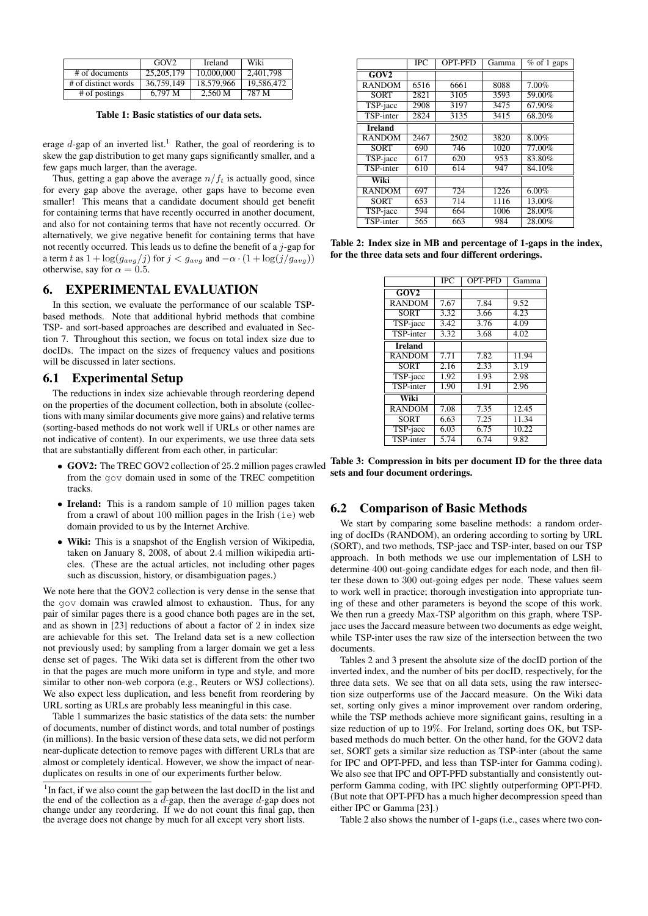|                     | GOV <sub>2</sub> | <b>Ireland</b> | Wiki       |
|---------------------|------------------|----------------|------------|
| # of documents      | 25, 205, 179     | 10,000,000     | 2.401.798  |
| # of distinct words | 36.759.149       | 18.579.966     | 19.586.472 |
| # of postings       | 6.797 M          | 2.560 M        | 787 M      |

Table 1: Basic statistics of our data sets.

erage  $d$ -gap of an inverted list.<sup>1</sup> Rather, the goal of reordering is to skew the gap distribution to get many gaps significantly smaller, and a few gaps much larger, than the average.

Thus, getting a gap above the average  $n/f_t$  is actually good, since for every gap above the average, other gaps have to become even smaller! This means that a candidate document should get benefit for containing terms that have recently occurred in another document, and also for not containing terms that have not recently occurred. Or alternatively, we give negative benefit for containing terms that have not recently occurred. This leads us to define the benefit of a *j*-gap for a term *t* as  $1 + \log(g_{avg}/j)$  for  $j < g_{avg}$  and  $-\alpha \cdot (1 + \log(j/g_{avg}))$ otherwise, say for  $\alpha = 0.5$ .

#### 6. EXPERIMENTAL EVALUATION

In this section, we evaluate the performance of our scalable TSPbased methods. Note that additional hybrid methods that combine TSP- and sort-based approaches are described and evaluated in Section 7. Throughout this section, we focus on total index size due to docIDs. The impact on the sizes of frequency values and positions will be discussed in later sections.

#### 6.1 Experimental Setup

The reductions in index size achievable through reordering depend on the properties of the document collection, both in absolute (collections with many similar documents give more gains) and relative terms (sorting-based methods do not work well if URLs or other names are not indicative of content). In our experiments, we use three data sets that are substantially different from each other, in particular:

- *•* GOV2: The TREC GOV2 collection of 25*.*2 million pages crawled from the gov domain used in some of the TREC competition tracks.
- **Ireland:** This is a random sample of 10 million pages taken from a crawl of about 100 million pages in the Irish (ie) web domain provided to us by the Internet Archive.
- *•* Wiki: This is a snapshot of the English version of Wikipedia, taken on January 8, 2008, of about 2*.*4 million wikipedia articles. (These are the actual articles, not including other pages such as discussion, history, or disambiguation pages.)

We note here that the GOV2 collection is very dense in the sense that the gov domain was crawled almost to exhaustion. Thus, for any pair of similar pages there is a good chance both pages are in the set, and as shown in [23] reductions of about a factor of 2 in index size are achievable for this set. The Ireland data set is a new collection not previously used; by sampling from a larger domain we get a less dense set of pages. The Wiki data set is different from the other two in that the pages are much more uniform in type and style, and more similar to other non-web corpora (e.g., Reuters or WSJ collections). We also expect less duplication, and less benefit from reordering by URL sorting as URLs are probably less meaningful in this case.

Table 1 summarizes the basic statistics of the data sets: the number of documents, number of distinct words, and total number of postings (in millions). In the basic version of these data sets, we did not perform near-duplicate detection to remove pages with different URLs that are almost or completely identical. However, we show the impact of nearduplicates on results in one of our experiments further below.

|                  | $\overline{\text{IPC}}$ | <b>OPT-PFD</b> | Gamma | $\sqrt{\%}$ of 1 gaps |
|------------------|-------------------------|----------------|-------|-----------------------|
| GOV2             |                         |                |       |                       |
| <b>RANDOM</b>    | 6516                    | 6661           | 8088  | 7.00%                 |
| <b>SORT</b>      | 2821                    | 3105           | 3593  | 59.00%                |
| TSP-jacc         | 2908                    | 3197           | 3475  | 67.90%                |
| <b>TSP-inter</b> | 2824                    | 3135           | 3415  | 68.20%                |
| <b>Ireland</b>   |                         |                |       |                       |
| <b>RANDOM</b>    | 2467                    | 2502           | 3820  | 8.00%                 |
| <b>SORT</b>      | 690                     | 746            | 1020  | 77.00%                |
| TSP-jacc         | 617                     | 620            | 953   | 83.80%                |
| TSP-inter        | 610                     | 614            | 947   | 84.10%                |
| Wiki             |                         |                |       |                       |
| <b>RANDOM</b>    | 697                     | 724            | 1226  | $6.00\%$              |
| <b>SORT</b>      | 653                     | 714            | 1116  | 13.00%                |
| TSP-jacc         | 594                     | 664            | 1006  | 28.00%                |
| TSP-inter        | 565                     | 663            | 984   | 28.00%                |

Table 2: Index size in MB and percentage of 1-gaps in the index, for the three data sets and four different orderings.

|                  | <b>IPC</b>        | <b>OPT-PFD</b>    | Gamma             |
|------------------|-------------------|-------------------|-------------------|
| GOV2             |                   |                   |                   |
| <b>RANDOM</b>    | 7.67              | 7.84              | 9.52              |
| <b>SORT</b>      | 3.32              | 3.66              | $\overline{4.23}$ |
| TSP-jacc         | $\overline{3.42}$ | $\overline{3.76}$ | $\overline{4.09}$ |
| <b>TSP-inter</b> | 3.32              | 3.68              | 4.02              |
| <b>Ireland</b>   |                   |                   |                   |
| <b>RANDOM</b>    | 7.71              | 7.82              | 11.94             |
| <b>SORT</b>      | 2.16              | 2.33              | 3.19              |
| TSP-jacc         | 1.92              | 1.93              | 2.98              |
| TSP-inter        | 1.90              | 1.91              | 2.96              |
| Wiki             |                   |                   |                   |
| <b>RANDOM</b>    | 7.08              | 7.35              | 12.45             |
| <b>SORT</b>      | 6.63              | 7.25              | 11.34             |
| TSP-jacc         | 6.03              | 6.75              | 10.22             |
| TSP-inter        | 5.74              | 6.74              | 9.82              |

Table 3: Compression in bits per document ID for the three data sets and four document orderings.

# 6.2 Comparison of Basic Methods

We start by comparing some baseline methods: a random ordering of docIDs (RANDOM), an ordering according to sorting by URL (SORT), and two methods, TSP-jacc and TSP-inter, based on our TSP approach. In both methods we use our implementation of LSH to determine 400 out-going candidate edges for each node, and then filter these down to 300 out-going edges per node. These values seem to work well in practice; thorough investigation into appropriate tuning of these and other parameters is beyond the scope of this work. We then run a greedy Max-TSP algorithm on this graph, where TSPjacc uses the Jaccard measure between two documents as edge weight, while TSP-inter uses the raw size of the intersection between the two documents.

Tables 2 and 3 present the absolute size of the docID portion of the inverted index, and the number of bits per docID, respectively, for the three data sets. We see that on all data sets, using the raw intersection size outperforms use of the Jaccard measure. On the Wiki data set, sorting only gives a minor improvement over random ordering, while the TSP methods achieve more significant gains, resulting in a size reduction of up to 19%. For Ireland, sorting does OK, but TSPbased methods do much better. On the other hand, for the GOV2 data set, SORT gets a similar size reduction as TSP-inter (about the same for IPC and OPT-PFD, and less than TSP-inter for Gamma coding). We also see that IPC and OPT-PFD substantially and consistently outperform Gamma coding, with IPC slightly outperforming OPT-PFD. (But note that OPT-PFD has a much higher decompression speed than either IPC or Gamma [23].)

Table 2 also shows the number of 1-gaps (i.e., cases where two con-

<sup>&</sup>lt;sup>1</sup>In fact, if we also count the gap between the last docID in the list and the end of the collection as a *d*-gap, then the average *d*-gap does not change under any reordering. If we do not count this final gap, then the average does not change by much for all except very short lists.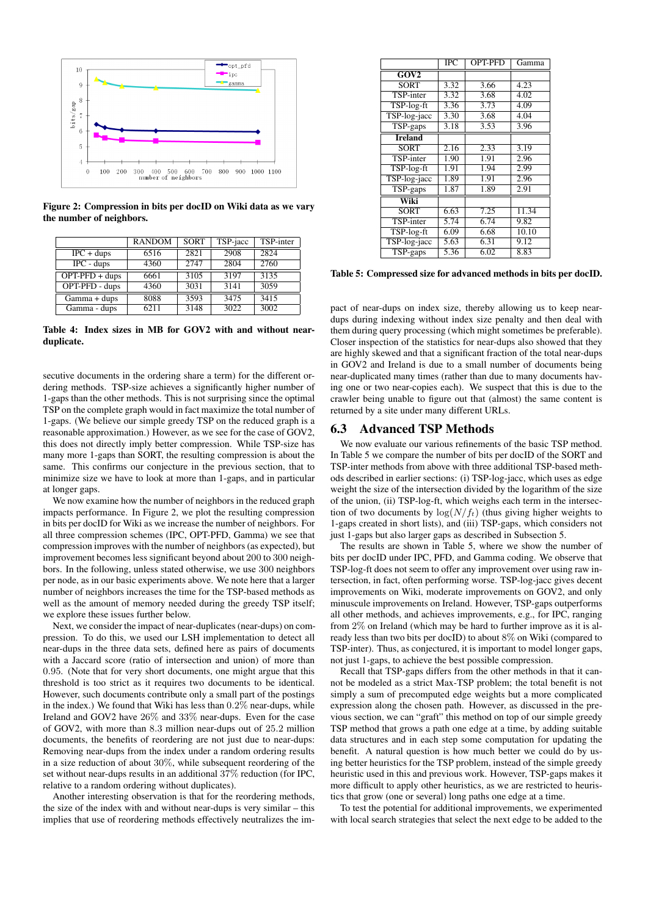

Figure 2: Compression in bits per docID on Wiki data as we vary the number of neighbors.

|                                           | <b>RANDOM</b> | <b>SORT</b> | TSP-jacc | TSP-inter |
|-------------------------------------------|---------------|-------------|----------|-----------|
| $IPC + \text{dups}$                       | 6516          | 2821        | 2908     | 2824      |
| $IPC$ - dups                              | 4360          | 2747        | 2804     | 2760      |
| $\overline{OPT\text{-}PFD + \text{dups}}$ | 6661          | 3105        | 3197     | 3135      |
| OPT-PFD - dups                            | 4360          | 3031        | 3141     | 3059      |
| Gamma + dups                              | 8088          | 3593        | 3475     | 3415      |
| Gamma - dups                              | 6211          | 3148        | 3022     | 3002      |

Table 4: Index sizes in MB for GOV2 with and without nearduplicate.

secutive documents in the ordering share a term) for the different ordering methods. TSP-size achieves a significantly higher number of 1-gaps than the other methods. This is not surprising since the optimal TSP on the complete graph would in fact maximize the total number of 1-gaps. (We believe our simple greedy TSP on the reduced graph is a reasonable approximation.) However, as we see for the case of GOV2, this does not directly imply better compression. While TSP-size has many more 1-gaps than SORT, the resulting compression is about the same. This confirms our conjecture in the previous section, that to minimize size we have to look at more than 1-gaps, and in particular at longer gaps.

We now examine how the number of neighbors in the reduced graph impacts performance. In Figure 2, we plot the resulting compression in bits per docID for Wiki as we increase the number of neighbors. For all three compression schemes (IPC, OPT-PFD, Gamma) we see that compression improves with the number of neighbors (as expected), but improvement becomes less significant beyond about 200 to 300 neighbors. In the following, unless stated otherwise, we use 300 neighbors per node, as in our basic experiments above. We note here that a larger number of neighbors increases the time for the TSP-based methods as well as the amount of memory needed during the greedy TSP itself; we explore these issues further below.

Next, we consider the impact of near-duplicates (near-dups) on compression. To do this, we used our LSH implementation to detect all near-dups in the three data sets, defined here as pairs of documents with a Jaccard score (ratio of intersection and union) of more than 0*.*95. (Note that for very short documents, one might argue that this threshold is too strict as it requires two documents to be identical. However, such documents contribute only a small part of the postings in the index.) We found that Wiki has less than 0*.*2% near-dups, while Ireland and GOV2 have 26% and 33% near-dups. Even for the case of GOV2, with more than 8*.*3 million near-dups out of 25*.*2 million documents, the benefits of reordering are not just due to near-dups: Removing near-dups from the index under a random ordering results in a size reduction of about 30%, while subsequent reordering of the set without near-dups results in an additional 37% reduction (for IPC, relative to a random ordering without duplicates).

Another interesting observation is that for the reordering methods, the size of the index with and without near-dups is very similar – this implies that use of reordering methods effectively neutralizes the im-

|                  | $\overline{\text{IPC}}$ | OPT-PFD | Gamma |
|------------------|-------------------------|---------|-------|
| GOV2             |                         |         |       |
| <b>SORT</b>      | 3.32                    | 3.66    | 4.23  |
| <b>TSP-inter</b> | 3.32                    | 3.68    | 4.02  |
| TSP-log-ft       | 3.36                    | 3.73    | 4.09  |
| TSP-log-jacc     | 3.30                    | 3.68    | 4.04  |
| TSP-gaps         | 3.18                    | 3.53    | 3.96  |
| <b>Ireland</b>   |                         |         |       |
| <b>SORT</b>      | 2.16                    | 2.33    | 3.19  |
| TSP-inter        | 1.90                    | 1.91    | 2.96  |
| TSP-log-ft       | 1.91                    | 1.94    | 2.99  |
| TSP-log-jacc     | 1.89                    | 1.91    | 2.96  |
| TSP-gaps         | 1.87                    | 1.89    | 2.91  |
| Wiki             |                         |         |       |
| <b>SORT</b>      | 6.63                    | 7.25    | 11.34 |
| <b>TSP-inter</b> | 5.74                    | 6.74    | 9.82  |
| TSP-log-ft       | 6.09                    | 6.68    | 10.10 |
| TSP-log-jacc     | 5.63                    | 6.31    | 9.12  |
| TSP-gaps         | 5.36                    | 6.02    | 8.83  |

Table 5: Compressed size for advanced methods in bits per docID.

pact of near-dups on index size, thereby allowing us to keep neardups during indexing without index size penalty and then deal with them during query processing (which might sometimes be preferable). Closer inspection of the statistics for near-dups also showed that they are highly skewed and that a significant fraction of the total near-dups in GOV2 and Ireland is due to a small number of documents being near-duplicated many times (rather than due to many documents having one or two near-copies each). We suspect that this is due to the crawler being unable to figure out that (almost) the same content is returned by a site under many different URLs.

#### 6.3 Advanced TSP Methods

We now evaluate our various refinements of the basic TSP method. In Table 5 we compare the number of bits per docID of the SORT and TSP-inter methods from above with three additional TSP-based methods described in earlier sections: (i) TSP-log-jacc, which uses as edge weight the size of the intersection divided by the logarithm of the size of the union, (ii) TSP-log-ft, which weighs each term in the intersection of two documents by  $\log(N/f_t)$  (thus giving higher weights to 1-gaps created in short lists), and (iii) TSP-gaps, which considers not just 1-gaps but also larger gaps as described in Subsection 5.

The results are shown in Table 5, where we show the number of bits per docID under IPC, PFD, and Gamma coding. We observe that TSP-log-ft does not seem to offer any improvement over using raw intersection, in fact, often performing worse. TSP-log-jacc gives decent improvements on Wiki, moderate improvements on GOV2, and only minuscule improvements on Ireland. However, TSP-gaps outperforms all other methods, and achieves improvements, e.g., for IPC, ranging from 2% on Ireland (which may be hard to further improve as it is already less than two bits per docID) to about 8% on Wiki (compared to TSP-inter). Thus, as conjectured, it is important to model longer gaps, not just 1-gaps, to achieve the best possible compression.

Recall that TSP-gaps differs from the other methods in that it cannot be modeled as a strict Max-TSP problem; the total benefit is not simply a sum of precomputed edge weights but a more complicated expression along the chosen path. However, as discussed in the previous section, we can "graft" this method on top of our simple greedy TSP method that grows a path one edge at a time, by adding suitable data structures and in each step some computation for updating the benefit. A natural question is how much better we could do by using better heuristics for the TSP problem, instead of the simple greedy heuristic used in this and previous work. However, TSP-gaps makes it more difficult to apply other heuristics, as we are restricted to heuristics that grow (one or several) long paths one edge at a time.

To test the potential for additional improvements, we experimented with local search strategies that select the next edge to be added to the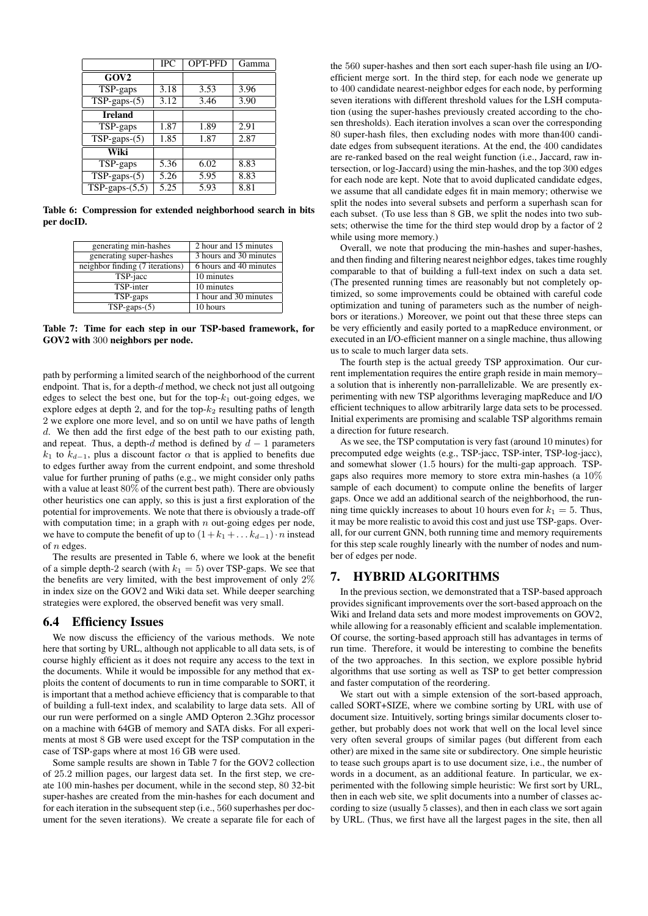|                  | <b>IPC</b> | <b>OPT-PFD</b> | Gamma |
|------------------|------------|----------------|-------|
| GOV <sub>2</sub> |            |                |       |
| TSP-gaps         | 3.18       | 3.53           | 3.96  |
| $TSP-gaps-(5)$   | 3.12       | 3.46           | 3.90  |
| <b>Ireland</b>   |            |                |       |
| TSP-gaps         | 1.87       | 1.89           | 2.91  |
| $TSP-gaps-(5)$   | 1.85       | 1.87           | 2.87  |
| Wiki             |            |                |       |
| TSP-gaps         | 5.36       | 6.02           | 8.83  |
| $TSP-gaps-(5)$   | 5.26       | 5.95           | 8.83  |
| $TSP-gaps-(5,5)$ | 5.25       | 5.93           | 8.81  |

Table 6: Compression for extended neighborhood search in bits per docID.

| generating min-hashes           | 2 hour and 15 minutes  |
|---------------------------------|------------------------|
| generating super-hashes         | 3 hours and 30 minutes |
| neighbor finding (7 iterations) | 6 hours and 40 minutes |
| TSP-jacc                        | 10 minutes             |
| TSP-inter                       | 10 minutes             |
| TSP-gaps                        | 1 hour and 30 minutes  |
| $TSP-gaps-(5)$                  | 10 hours               |

Table 7: Time for each step in our TSP-based framework, for GOV2 with 300 neighbors per node.

path by performing a limited search of the neighborhood of the current endpoint. That is, for a depth-*d* method, we check not just all outgoing edges to select the best one, but for the top- $k_1$  out-going edges, we explore edges at depth 2, and for the top-*k*<sup>2</sup> resulting paths of length 2 we explore one more level, and so on until we have paths of length *d*. We then add the first edge of the best path to our existing path, and repeat. Thus, a depth- $d$  method is defined by  $d-1$  parameters *k*<sub>1</sub> to  $k_{d-1}$ , plus a discount factor  $\alpha$  that is applied to benefits due to edges further away from the current endpoint, and some threshold value for further pruning of paths (e.g., we might consider only paths with a value at least 80% of the current best path). There are obviously other heuristics one can apply, so this is just a first exploration of the potential for improvements. We note that there is obviously a trade-off with computation time; in a graph with *n* out-going edges per node, we have to compute the benefit of up to  $(1+k_1 + \ldots k_{d-1}) \cdot n$  instead of *n* edges.

The results are presented in Table 6, where we look at the benefit of a simple depth-2 search (with  $k_1 = 5$ ) over TSP-gaps. We see that the benefits are very limited, with the best improvement of only 2% in index size on the GOV2 and Wiki data set. While deeper searching strategies were explored, the observed benefit was very small.

#### 6.4 Efficiency Issues

We now discuss the efficiency of the various methods. We note here that sorting by URL, although not applicable to all data sets, is of course highly efficient as it does not require any access to the text in the documents. While it would be impossible for any method that exploits the content of documents to run in time comparable to SORT, it is important that a method achieve efficiency that is comparable to that of building a full-text index, and scalability to large data sets. All of our run were performed on a single AMD Opteron 2.3Ghz processor on a machine with 64GB of memory and SATA disks. For all experiments at most 8 GB were used except for the TSP computation in the case of TSP-gaps where at most 16 GB were used.

Some sample results are shown in Table 7 for the GOV2 collection of 25*.*2 million pages, our largest data set. In the first step, we create 100 min-hashes per document, while in the second step, 80 32-bit super-hashes are created from the min-hashes for each document and for each iteration in the subsequent step (i.e., 560 superhashes per document for the seven iterations). We create a separate file for each of the 560 super-hashes and then sort each super-hash file using an I/Oefficient merge sort. In the third step, for each node we generate up to 400 candidate nearest-neighbor edges for each node, by performing seven iterations with different threshold values for the LSH computation (using the super-hashes previously created according to the chosen thresholds). Each iteration involves a scan over the corresponding 80 super-hash files, then excluding nodes with more than400 candidate edges from subsequent iterations. At the end, the 400 candidates are re-ranked based on the real weight function (i.e., Jaccard, raw intersection, or log-Jaccard) using the min-hashes, and the top 300 edges for each node are kept. Note that to avoid duplicated candidate edges, we assume that all candidate edges fit in main memory; otherwise we split the nodes into several subsets and perform a superhash scan for each subset. (To use less than 8 GB, we split the nodes into two subsets; otherwise the time for the third step would drop by a factor of 2 while using more memory.)

Overall, we note that producing the min-hashes and super-hashes, and then finding and filtering nearest neighbor edges, takes time roughly comparable to that of building a full-text index on such a data set. (The presented running times are reasonably but not completely optimized, so some improvements could be obtained with careful code optimization and tuning of parameters such as the number of neighbors or iterations.) Moreover, we point out that these three steps can be very efficiently and easily ported to a mapReduce environment, or executed in an I/O-efficient manner on a single machine, thus allowing us to scale to much larger data sets.

The fourth step is the actual greedy TSP approximation. Our current implementation requires the entire graph reside in main memory– a solution that is inherently non-parrallelizable. We are presently experimenting with new TSP algorithms leveraging mapReduce and I/O efficient techniques to allow arbitrarily large data sets to be processed. Initial experiments are promising and scalable TSP algorithms remain a direction for future research.

As we see, the TSP computation is very fast (around 10 minutes) for precomputed edge weights (e.g., TSP-jacc, TSP-inter, TSP-log-jacc), and somewhat slower (1*.*5 hours) for the multi-gap approach. TSPgaps also requires more memory to store extra min-hashes (a 10% sample of each document) to compute online the benefits of larger gaps. Once we add an additional search of the neighborhood, the running time quickly increases to about 10 hours even for  $k_1 = 5$ . Thus, it may be more realistic to avoid this cost and just use TSP-gaps. Overall, for our current GNN, both running time and memory requirements for this step scale roughly linearly with the number of nodes and number of edges per node.

# 7. HYBRID ALGORITHMS

In the previous section, we demonstrated that a TSP-based approach provides significant improvements over the sort-based approach on the Wiki and Ireland data sets and more modest improvements on GOV2, while allowing for a reasonably efficient and scalable implementation. Of course, the sorting-based approach still has advantages in terms of run time. Therefore, it would be interesting to combine the benefits of the two approaches. In this section, we explore possible hybrid algorithms that use sorting as well as TSP to get better compression and faster computation of the reordering.

We start out with a simple extension of the sort-based approach, called SORT+SIZE, where we combine sorting by URL with use of document size. Intuitively, sorting brings similar documents closer together, but probably does not work that well on the local level since very often several groups of similar pages (but different from each other) are mixed in the same site or subdirectory. One simple heuristic to tease such groups apart is to use document size, i.e., the number of words in a document, as an additional feature. In particular, we experimented with the following simple heuristic: We first sort by URL, then in each web site, we split documents into a number of classes according to size (usually 5 classes), and then in each class we sort again by URL. (Thus, we first have all the largest pages in the site, then all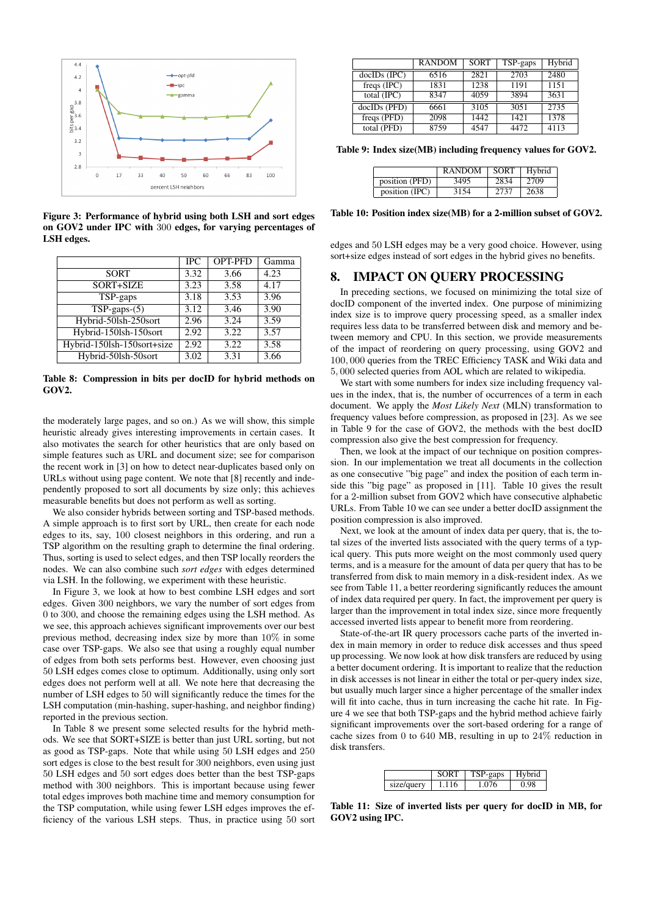

Figure 3: Performance of hybrid using both LSH and sort edges on GOV2 under IPC with 300 edges, for varying percentages of LSH edges.

|                            | <b>IPC</b> | <b>OPT-PFD</b> | Gamma |
|----------------------------|------------|----------------|-------|
| <b>SORT</b>                | 3.32       | 3.66           | 4.23  |
| SORT+SIZE                  | 3.23       | 3.58           | 4.17  |
| TSP-gaps                   | 3.18       | 3.53           | 3.96  |
| $TSP-gaps-(5)$             | 3.12       | 3.46           | 3.90  |
| Hybrid-50lsh-250sort       | 2.96       | 3.24           | 3.59  |
| Hybrid-150lsh-150sort      | 2.92       | 3.22           | 3.57  |
| Hybrid-150lsh-150sort+size | 2.92       | 3.22           | 3.58  |
| Hybrid-50lsh-50sort        | 3.02       | 3.31           | 3.66  |

Table 8: Compression in bits per docID for hybrid methods on GOV2.

the moderately large pages, and so on.) As we will show, this simple heuristic already gives interesting improvements in certain cases. It also motivates the search for other heuristics that are only based on simple features such as URL and document size; see for comparison the recent work in [3] on how to detect near-duplicates based only on URLs without using page content. We note that [8] recently and independently proposed to sort all documents by size only; this achieves measurable benefits but does not perform as well as sorting.

We also consider hybrids between sorting and TSP-based methods. A simple approach is to first sort by URL, then create for each node edges to its, say, 100 closest neighbors in this ordering, and run a TSP algorithm on the resulting graph to determine the final ordering. Thus, sorting is used to select edges, and then TSP locally reorders the nodes. We can also combine such *sort edges* with edges determined via LSH. In the following, we experiment with these heuristic.

In Figure 3, we look at how to best combine LSH edges and sort edges. Given 300 neighbors, we vary the number of sort edges from 0 to 300, and choose the remaining edges using the LSH method. As we see, this approach achieves significant improvements over our best previous method, decreasing index size by more than 10% in some case over TSP-gaps. We also see that using a roughly equal number of edges from both sets performs best. However, even choosing just 50 LSH edges comes close to optimum. Additionally, using only sort edges does not perform well at all. We note here that decreasing the number of LSH edges to 50 will significantly reduce the times for the LSH computation (min-hashing, super-hashing, and neighbor finding) reported in the previous section.

In Table 8 we present some selected results for the hybrid methods. We see that SORT+SIZE is better than just URL sorting, but not as good as TSP-gaps. Note that while using 50 LSH edges and 250 sort edges is close to the best result for 300 neighbors, even using just 50 LSH edges and 50 sort edges does better than the best TSP-gaps method with 300 neighbors. This is important because using fewer total edges improves both machine time and memory consumption for the TSP computation, while using fewer LSH edges improves the efficiency of the various LSH steps. Thus, in practice using 50 sort

|               | <b>RANDOM</b> | <b>SORT</b> | TSP-gaps | Hybrid |
|---------------|---------------|-------------|----------|--------|
| docIDs (IPC)  | 6516          | 2821        | 2703     | 2480   |
| freqs $(IPC)$ | 1831          | 1238        | 1191     | 1151   |
| total (IPC)   | 8347          | 4059        | 3894     | 3631   |
| docIDs (PFD)  | 6661          | 3105        | 3051     | 2735   |
| freqs (PFD)   | 2098          | 1442        | 1421     | 1378   |
| total (PFD)   | 8759          | 4547        | 4472     | 4113   |

Table 9: Index size(MB) including frequency values for GOV2.

|                | <b>RANDOM</b> | <b>SORT</b> | Hybrid |
|----------------|---------------|-------------|--------|
| position (PFD) | 3495          | 2834        | 2709   |
| position (IPC) | 3154          | 2737        | 2638   |

Table 10: Position index size(MB) for a 2-million subset of GOV2.

edges and 50 LSH edges may be a very good choice. However, using sort+size edges instead of sort edges in the hybrid gives no benefits.

#### 8. IMPACT ON QUERY PROCESSING

In preceding sections, we focused on minimizing the total size of docID component of the inverted index. One purpose of minimizing index size is to improve query processing speed, as a smaller index requires less data to be transferred between disk and memory and between memory and CPU. In this section, we provide measurements of the impact of reordering on query processing, using GOV2 and 100*,* 000 queries from the TREC Efficiency TASK and Wiki data and 5*,* 000 selected queries from AOL which are related to wikipedia.

We start with some numbers for index size including frequency values in the index, that is, the number of occurrences of a term in each document. We apply the *Most Likely Next* (MLN) transformation to frequency values before compression, as proposed in [23]. As we see in Table 9 for the case of GOV2, the methods with the best docID compression also give the best compression for frequency.

Then, we look at the impact of our technique on position compression. In our implementation we treat all documents in the collection as one consecutive "big page" and index the position of each term inside this "big page" as proposed in [11]. Table 10 gives the result for a 2-million subset from GOV2 which have consecutive alphabetic URLs. From Table 10 we can see under a better docID assignment the position compression is also improved.

Next, we look at the amount of index data per query, that is, the total sizes of the inverted lists associated with the query terms of a typical query. This puts more weight on the most commonly used query terms, and is a measure for the amount of data per query that has to be transferred from disk to main memory in a disk-resident index. As we see from Table 11, a better reordering significantly reduces the amount of index data required per query. In fact, the improvement per query is larger than the improvement in total index size, since more frequently accessed inverted lists appear to benefit more from reordering.

State-of-the-art IR query processors cache parts of the inverted index in main memory in order to reduce disk accesses and thus speed up processing. We now look at how disk transfers are reduced by using a better document ordering. It is important to realize that the reduction in disk accesses is not linear in either the total or per-query index size, but usually much larger since a higher percentage of the smaller index will fit into cache, thus in turn increasing the cache hit rate. In Figure 4 we see that both TSP-gaps and the hybrid method achieve fairly significant improvements over the sort-based ordering for a range of cache sizes from 0 to 640 MB, resulting in up to  $24\%$  reduction in disk transfers.

|            | <b>SORT</b> | $TSP-2ans$ | Hybrid |
|------------|-------------|------------|--------|
| size/query | 1.116       | 1.076      | 0.98   |

Table 11: Size of inverted lists per query for docID in MB, for GOV2 using IPC.